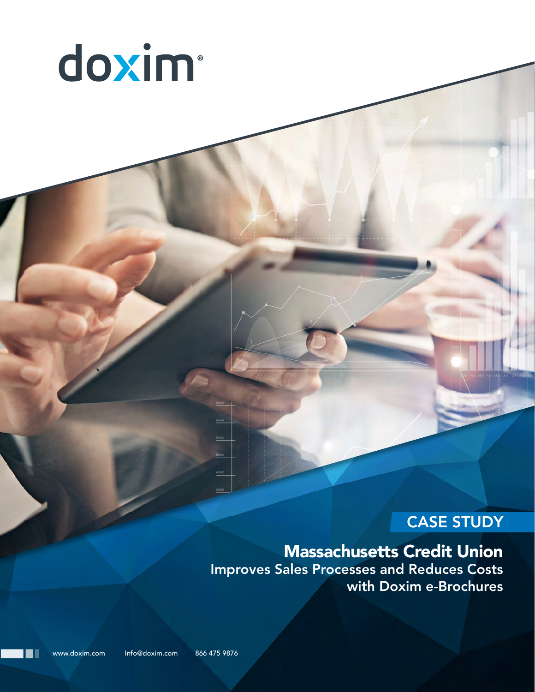

# CASE STUDY

# Massachusetts Credit Union

Improves Sales Processes and Reduces Costs with Doxim e-Brochures

www.doxim.com Info@doxim.com 866 475 9876

. .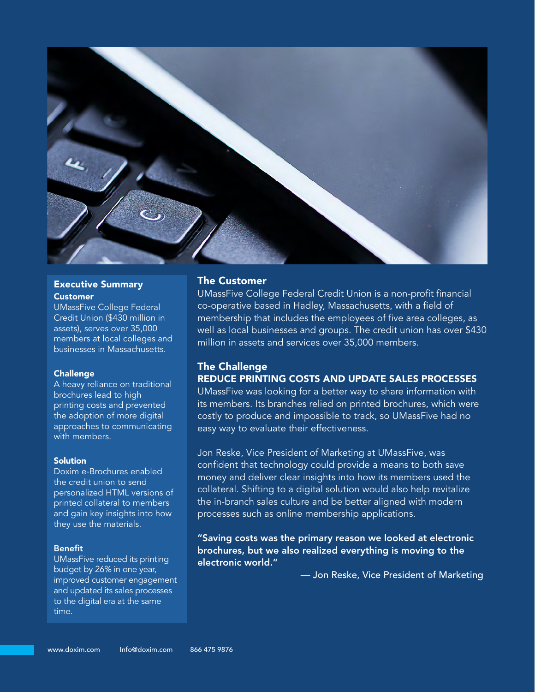

#### Executive Summary Customer

UMassFive College Federal Credit Union (\$430 million in assets), serves over 35,000 members at local colleges and businesses in Massachusetts.

#### **Challenge**

A heavy reliance on traditional brochures lead to high printing costs and prevented the adoption of more digital approaches to communicating with members.

#### Solution

Doxim e-Brochures enabled the credit union to send personalized HTML versions of printed collateral to members and gain key insights into how they use the materials.

#### Benefit

UMassFive reduced its printing budget by 26% in one year, improved customer engagement and updated its sales processes to the digital era at the same time.

### The Customer

UMassFive College Federal Credit Union is a non-profit financial co-operative based in Hadley, Massachusetts, with a field of membership that includes the employees of five area colleges, as well as local businesses and groups. The credit union has over \$430 million in assets and services over 35,000 members.

# The Challenge REDUCE PRINTING COSTS AND UPDATE SALES PROCESSES

UMassFive was looking for a better way to share information with its members. Its branches relied on printed brochures, which were costly to produce and impossible to track, so UMassFive had no easy way to evaluate their effectiveness.

Jon Reske, Vice President of Marketing at UMassFive, was confident that technology could provide a means to both save money and deliver clear insights into how its members used the collateral. Shifting to a digital solution would also help revitalize the in-branch sales culture and be better aligned with modern processes such as online membership applications.

"Saving costs was the primary reason we looked at electronic brochures, but we also realized everything is moving to the electronic world."

— Jon Reske, Vice President of Marketing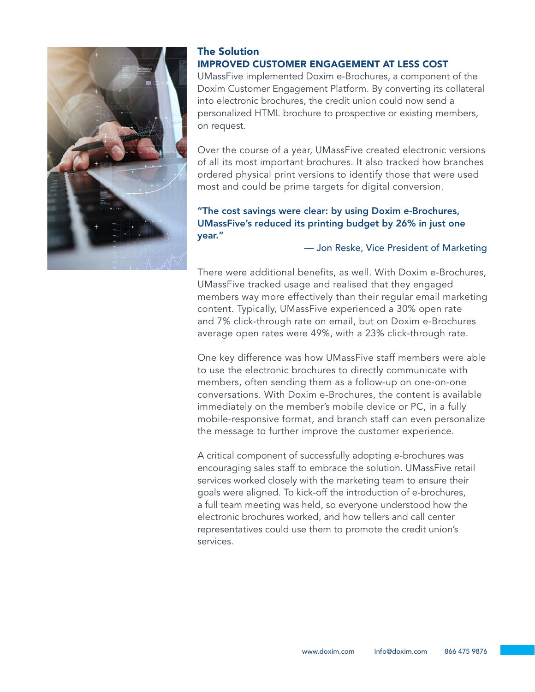

## The Solution IMPROVED CUSTOMER ENGAGEMENT AT LESS COST

UMassFive implemented Doxim e-Brochures, a component of the Doxim Customer Engagement Platform. By converting its collateral into electronic brochures, the credit union could now send a personalized HTML brochure to prospective or existing members, on request.

Over the course of a year, UMassFive created electronic versions of all its most important brochures. It also tracked how branches ordered physical print versions to identify those that were used most and could be prime targets for digital conversion.

# "The cost savings were clear: by using Doxim e-Brochures, UMassFive's reduced its printing budget by 26% in just one year."

## — Jon Reske, Vice President of Marketing

There were additional benefits, as well. With Doxim e-Brochures, UMassFive tracked usage and realised that they engaged members way more effectively than their regular email marketing content. Typically, UMassFive experienced a 30% open rate and 7% click-through rate on email, but on Doxim e-Brochures average open rates were 49%, with a 23% click-through rate.

One key difference was how UMassFive staff members were able to use the electronic brochures to directly communicate with members, often sending them as a follow-up on one-on-one conversations. With Doxim e-Brochures, the content is available immediately on the member's mobile device or PC, in a fully mobile-responsive format, and branch staff can even personalize the message to further improve the customer experience.

A critical component of successfully adopting e-brochures was encouraging sales staff to embrace the solution. UMassFive retail services worked closely with the marketing team to ensure their goals were aligned. To kick-off the introduction of e-brochures, a full team meeting was held, so everyone understood how the electronic brochures worked, and how tellers and call center representatives could use them to promote the credit union's services.